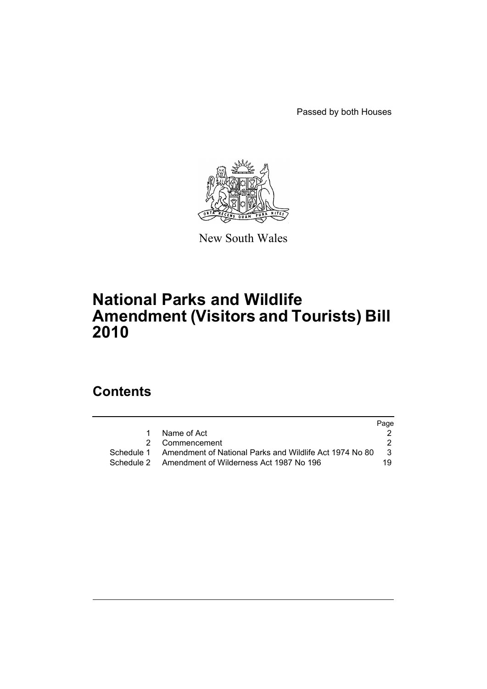Passed by both Houses



New South Wales

# **National Parks and Wildlife Amendment (Visitors and Tourists) Bill 2010**

# **Contents**

|   |                                                                    | Page          |
|---|--------------------------------------------------------------------|---------------|
| 1 | Name of Act                                                        |               |
|   | 2 Commencement                                                     |               |
|   | Schedule 1 Amendment of National Parks and Wildlife Act 1974 No 80 | $\mathcal{B}$ |
|   | Schedule 2 Amendment of Wilderness Act 1987 No 196                 | 19.           |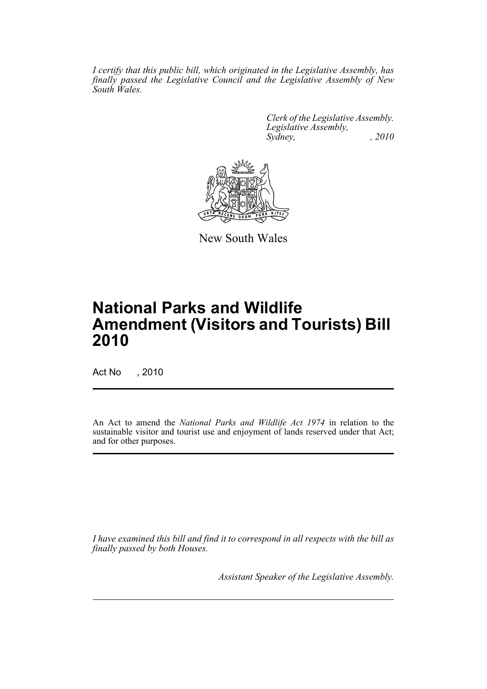*I certify that this public bill, which originated in the Legislative Assembly, has finally passed the Legislative Council and the Legislative Assembly of New South Wales.*

> *Clerk of the Legislative Assembly. Legislative Assembly, Sydney, , 2010*



New South Wales

# **National Parks and Wildlife Amendment (Visitors and Tourists) Bill 2010**

Act No , 2010

An Act to amend the *National Parks and Wildlife Act 1974* in relation to the sustainable visitor and tourist use and enjoyment of lands reserved under that Act; and for other purposes.

*I have examined this bill and find it to correspond in all respects with the bill as finally passed by both Houses.*

*Assistant Speaker of the Legislative Assembly.*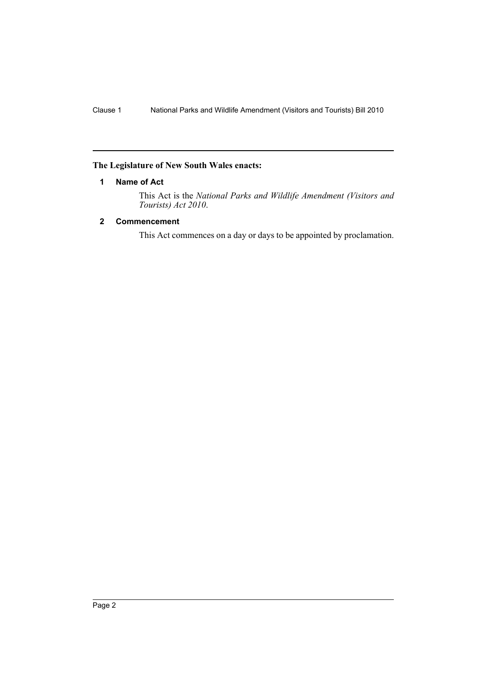# <span id="page-2-0"></span>**The Legislature of New South Wales enacts:**

# **1 Name of Act**

This Act is the *National Parks and Wildlife Amendment (Visitors and Tourists) Act 2010*.

# <span id="page-2-1"></span>**2 Commencement**

This Act commences on a day or days to be appointed by proclamation.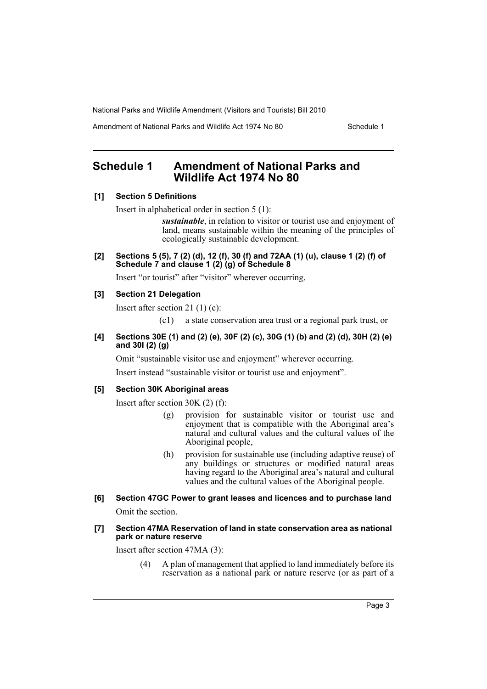Amendment of National Parks and Wildlife Act 1974 No 80 Schedule 1

# <span id="page-3-0"></span>**Schedule 1 Amendment of National Parks and Wildlife Act 1974 No 80**

#### **[1] Section 5 Definitions**

Insert in alphabetical order in section 5 (1):

*sustainable*, in relation to visitor or tourist use and enjoyment of land, means sustainable within the meaning of the principles of ecologically sustainable development.

**[2] Sections 5 (5), 7 (2) (d), 12 (f), 30 (f) and 72AA (1) (u), clause 1 (2) (f) of Schedule 7 and clause 1 (2) (g) of Schedule 8**

Insert "or tourist" after "visitor" wherever occurring.

# **[3] Section 21 Delegation**

Insert after section 21 (1) (c):

(c1) a state conservation area trust or a regional park trust, or

### **[4] Sections 30E (1) and (2) (e), 30F (2) (c), 30G (1) (b) and (2) (d), 30H (2) (e) and 30I (2) (g)**

Omit "sustainable visitor use and enjoyment" wherever occurring.

Insert instead "sustainable visitor or tourist use and enjoyment".

# **[5] Section 30K Aboriginal areas**

Insert after section 30K (2) (f):

- (g) provision for sustainable visitor or tourist use and enjoyment that is compatible with the Aboriginal area's natural and cultural values and the cultural values of the Aboriginal people,
- (h) provision for sustainable use (including adaptive reuse) of any buildings or structures or modified natural areas having regard to the Aboriginal area's natural and cultural values and the cultural values of the Aboriginal people.

# **[6] Section 47GC Power to grant leases and licences and to purchase land**

Omit the section.

#### **[7] Section 47MA Reservation of land in state conservation area as national park or nature reserve**

Insert after section 47MA (3):

(4) A plan of management that applied to land immediately before its reservation as a national park or nature reserve (or as part of a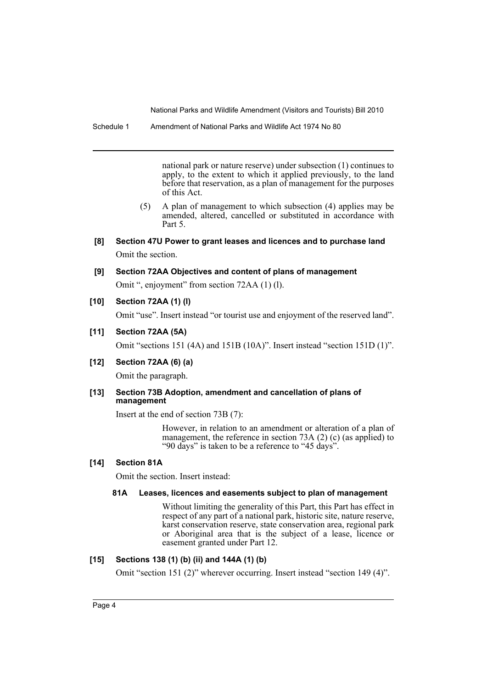Schedule 1 Amendment of National Parks and Wildlife Act 1974 No 80

national park or nature reserve) under subsection (1) continues to apply, to the extent to which it applied previously, to the land before that reservation, as a plan of management for the purposes of this Act.

- (5) A plan of management to which subsection (4) applies may be amended, altered, cancelled or substituted in accordance with Part 5.
- **[8] Section 47U Power to grant leases and licences and to purchase land** Omit the section.
- **[9] Section 72AA Objectives and content of plans of management** Omit ", enjoyment" from section 72AA (1) (l).
- **[10] Section 72AA (1) (l)**

Omit "use". Insert instead "or tourist use and enjoyment of the reserved land".

**[11] Section 72AA (5A)**

Omit "sections 151 (4A) and 151B (10A)". Insert instead "section 151D (1)".

**[12] Section 72AA (6) (a)**

Omit the paragraph.

## **[13] Section 73B Adoption, amendment and cancellation of plans of management**

Insert at the end of section 73B (7):

However, in relation to an amendment or alteration of a plan of management, the reference in section 73A (2) (c) (as applied) to "90 days" is taken to be a reference to "45 days".

# **[14] Section 81A**

Omit the section. Insert instead:

#### **81A Leases, licences and easements subject to plan of management**

Without limiting the generality of this Part, this Part has effect in respect of any part of a national park, historic site, nature reserve, karst conservation reserve, state conservation area, regional park or Aboriginal area that is the subject of a lease, licence or easement granted under Part 12.

# **[15] Sections 138 (1) (b) (ii) and 144A (1) (b)**

Omit "section 151 (2)" wherever occurring. Insert instead "section 149 (4)".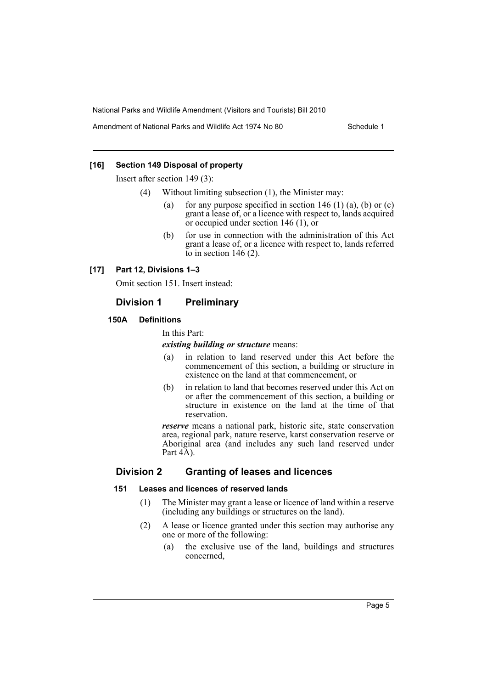Amendment of National Parks and Wildlife Act 1974 No 80 Schedule 1

# **[16] Section 149 Disposal of property**

Insert after section 149 (3):

- (4) Without limiting subsection (1), the Minister may:
	- (a) for any purpose specified in section  $146 (1)$  (a), (b) or (c) grant a lease of, or a licence with respect to, lands acquired or occupied under section 146 (1), or
	- (b) for use in connection with the administration of this Act grant a lease of, or a licence with respect to, lands referred to in section  $146(2)$ .

# **[17] Part 12, Divisions 1–3**

Omit section 151. Insert instead:

# **Division 1 Preliminary**

# **150A Definitions**

In this Part:

### *existing building or structure* means:

- (a) in relation to land reserved under this Act before the commencement of this section, a building or structure in existence on the land at that commencement, or
- (b) in relation to land that becomes reserved under this Act on or after the commencement of this section, a building or structure in existence on the land at the time of that reservation.

*reserve* means a national park, historic site, state conservation area, regional park, nature reserve, karst conservation reserve or Aboriginal area (and includes any such land reserved under Part 4A).

# **Division 2 Granting of leases and licences**

# **151 Leases and licences of reserved lands**

- (1) The Minister may grant a lease or licence of land within a reserve (including any buildings or structures on the land).
- (2) A lease or licence granted under this section may authorise any one or more of the following:
	- (a) the exclusive use of the land, buildings and structures concerned,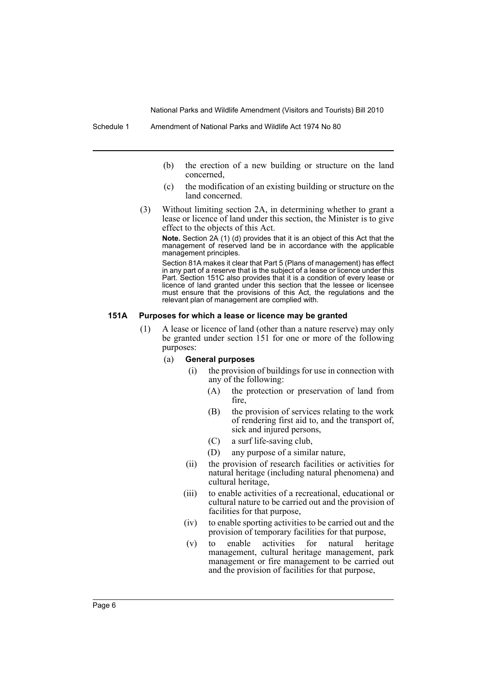- (b) the erection of a new building or structure on the land concerned,
- (c) the modification of an existing building or structure on the land concerned.
- (3) Without limiting section 2A, in determining whether to grant a lease or licence of land under this section, the Minister is to give effect to the objects of this Act.

**Note.** Section 2A (1) (d) provides that it is an object of this Act that the management of reserved land be in accordance with the applicable management principles.

Section 81A makes it clear that Part 5 (Plans of management) has effect in any part of a reserve that is the subject of a lease or licence under this Part. Section 151C also provides that it is a condition of every lease or licence of land granted under this section that the lessee or licensee must ensure that the provisions of this Act, the regulations and the relevant plan of management are complied with.

#### **151A Purposes for which a lease or licence may be granted**

- (1) A lease or licence of land (other than a nature reserve) may only be granted under section 151 for one or more of the following purposes:
	- (a) **General purposes**
		- (i) the provision of buildings for use in connection with any of the following:
			- (A) the protection or preservation of land from fire,
			- (B) the provision of services relating to the work of rendering first aid to, and the transport of, sick and injured persons,
			- (C) a surf life-saving club,
			- (D) any purpose of a similar nature,
		- (ii) the provision of research facilities or activities for natural heritage (including natural phenomena) and cultural heritage,
		- (iii) to enable activities of a recreational, educational or cultural nature to be carried out and the provision of facilities for that purpose,
		- (iv) to enable sporting activities to be carried out and the provision of temporary facilities for that purpose,
		- (v) to enable activities for natural heritage management, cultural heritage management, park management or fire management to be carried out and the provision of facilities for that purpose,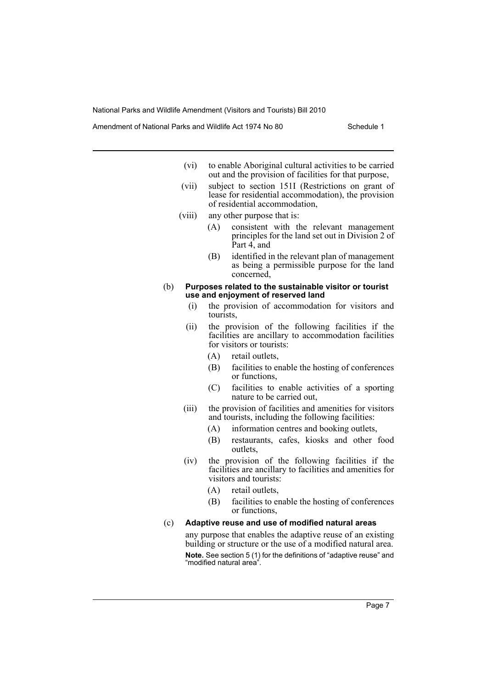Amendment of National Parks and Wildlife Act 1974 No 80 Schedule 1

- (vi) to enable Aboriginal cultural activities to be carried out and the provision of facilities for that purpose,
- (vii) subject to section 151I (Restrictions on grant of lease for residential accommodation), the provision of residential accommodation,
- (viii) any other purpose that is:
	- (A) consistent with the relevant management principles for the land set out in Division 2 of Part 4, and
	- (B) identified in the relevant plan of management as being a permissible purpose for the land concerned,
- (b) **Purposes related to the sustainable visitor or tourist use and enjoyment of reserved land**
	- (i) the provision of accommodation for visitors and tourists,
	- (ii) the provision of the following facilities if the facilities are ancillary to accommodation facilities for visitors or tourists:
		- (A) retail outlets,
		- (B) facilities to enable the hosting of conferences or functions,
		- (C) facilities to enable activities of a sporting nature to be carried out,
	- (iii) the provision of facilities and amenities for visitors and tourists, including the following facilities:
		- (A) information centres and booking outlets,
		- (B) restaurants, cafes, kiosks and other food outlets,
	- (iv) the provision of the following facilities if the facilities are ancillary to facilities and amenities for visitors and tourists:
		- (A) retail outlets,
		- (B) facilities to enable the hosting of conferences or functions,

## (c) **Adaptive reuse and use of modified natural areas**

any purpose that enables the adaptive reuse of an existing building or structure or the use of a modified natural area. **Note.** See section 5 (1) for the definitions of "adaptive reuse" and "modified natural area".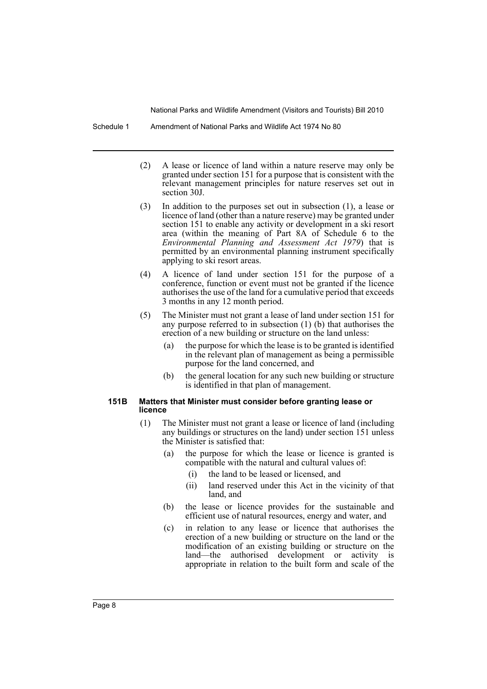Schedule 1 Amendment of National Parks and Wildlife Act 1974 No 80

- (2) A lease or licence of land within a nature reserve may only be granted under section 151 for a purpose that is consistent with the relevant management principles for nature reserves set out in section 30J.
- (3) In addition to the purposes set out in subsection (1), a lease or licence of land (other than a nature reserve) may be granted under section 151 to enable any activity or development in a ski resort area (within the meaning of Part 8A of Schedule 6 to the *Environmental Planning and Assessment Act 1979*) that is permitted by an environmental planning instrument specifically applying to ski resort areas.
- (4) A licence of land under section 151 for the purpose of a conference, function or event must not be granted if the licence authorises the use of the land for a cumulative period that exceeds 3 months in any 12 month period.
- (5) The Minister must not grant a lease of land under section 151 for any purpose referred to in subsection  $(1)$  (b) that authorises the erection of a new building or structure on the land unless:
	- (a) the purpose for which the lease is to be granted is identified in the relevant plan of management as being a permissible purpose for the land concerned, and
	- (b) the general location for any such new building or structure is identified in that plan of management.

#### **151B Matters that Minister must consider before granting lease or licence**

- (1) The Minister must not grant a lease or licence of land (including any buildings or structures on the land) under section 151 unless the Minister is satisfied that:
	- (a) the purpose for which the lease or licence is granted is compatible with the natural and cultural values of:
		- (i) the land to be leased or licensed, and
		- (ii) land reserved under this Act in the vicinity of that land, and
	- (b) the lease or licence provides for the sustainable and efficient use of natural resources, energy and water, and
	- (c) in relation to any lease or licence that authorises the erection of a new building or structure on the land or the modification of an existing building or structure on the land—the authorised development or activity is appropriate in relation to the built form and scale of the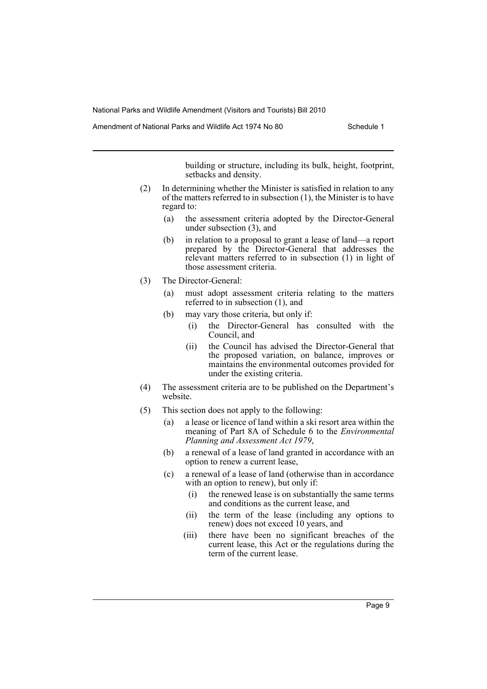Amendment of National Parks and Wildlife Act 1974 No 80 Schedule 1

building or structure, including its bulk, height, footprint, setbacks and density.

- (2) In determining whether the Minister is satisfied in relation to any of the matters referred to in subsection (1), the Minister is to have regard to:
	- (a) the assessment criteria adopted by the Director-General under subsection (3), and
	- (b) in relation to a proposal to grant a lease of land—a report prepared by the Director-General that addresses the relevant matters referred to in subsection (1) in light of those assessment criteria.
- (3) The Director-General:
	- (a) must adopt assessment criteria relating to the matters referred to in subsection  $(1)$ , and
	- (b) may vary those criteria, but only if:
		- (i) the Director-General has consulted with the Council, and
		- (ii) the Council has advised the Director-General that the proposed variation, on balance, improves or maintains the environmental outcomes provided for under the existing criteria.
- (4) The assessment criteria are to be published on the Department's website.
- (5) This section does not apply to the following:
	- (a) a lease or licence of land within a ski resort area within the meaning of Part 8A of Schedule 6 to the *Environmental Planning and Assessment Act 1979*,
	- (b) a renewal of a lease of land granted in accordance with an option to renew a current lease,
	- (c) a renewal of a lease of land (otherwise than in accordance with an option to renew), but only if:
		- (i) the renewed lease is on substantially the same terms and conditions as the current lease, and
		- (ii) the term of the lease (including any options to renew) does not exceed 10 years, and
		- (iii) there have been no significant breaches of the current lease, this Act or the regulations during the term of the current lease.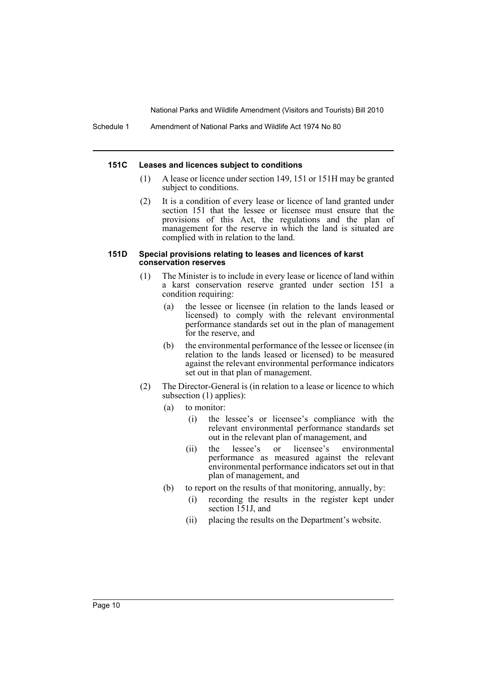#### **151C Leases and licences subject to conditions**

- (1) A lease or licence under section 149, 151 or 151H may be granted subject to conditions.
- (2) It is a condition of every lease or licence of land granted under section 151 that the lessee or licensee must ensure that the provisions of this Act, the regulations and the plan of management for the reserve in which the land is situated are complied with in relation to the land.

#### **151D Special provisions relating to leases and licences of karst conservation reserves**

- (1) The Minister is to include in every lease or licence of land within a karst conservation reserve granted under section 151 a condition requiring:
	- (a) the lessee or licensee (in relation to the lands leased or licensed) to comply with the relevant environmental performance standards set out in the plan of management for the reserve, and
	- (b) the environmental performance of the lessee or licensee (in relation to the lands leased or licensed) to be measured against the relevant environmental performance indicators set out in that plan of management.
- (2) The Director-General is (in relation to a lease or licence to which subsection (1) applies):
	- (a) to monitor:
		- (i) the lessee's or licensee's compliance with the relevant environmental performance standards set out in the relevant plan of management, and
		- (ii) the lessee's or licensee's environmental performance as measured against the relevant environmental performance indicators set out in that plan of management, and
	- (b) to report on the results of that monitoring, annually, by:
		- (i) recording the results in the register kept under section 151J, and
		- (ii) placing the results on the Department's website.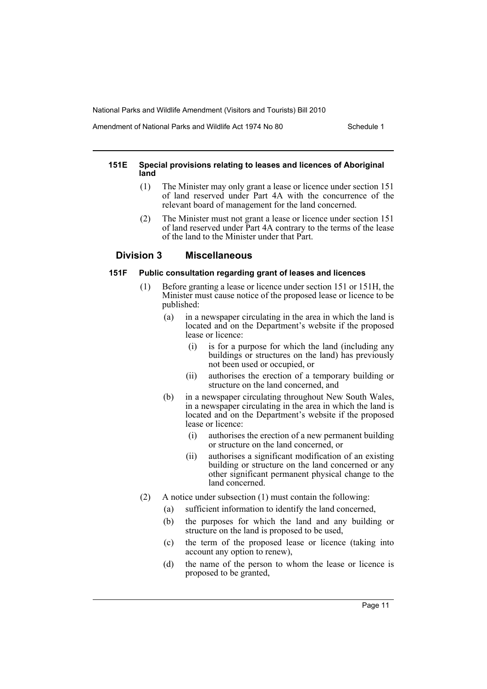Amendment of National Parks and Wildlife Act 1974 No 80 Schedule 1

### **151E Special provisions relating to leases and licences of Aboriginal land**

- (1) The Minister may only grant a lease or licence under section 151 of land reserved under Part 4A with the concurrence of the relevant board of management for the land concerned.
- (2) The Minister must not grant a lease or licence under section 151 of land reserved under Part 4A contrary to the terms of the lease of the land to the Minister under that Part.

# **Division 3 Miscellaneous**

## **151F Public consultation regarding grant of leases and licences**

- (1) Before granting a lease or licence under section 151 or 151H, the Minister must cause notice of the proposed lease or licence to be published:
	- (a) in a newspaper circulating in the area in which the land is located and on the Department's website if the proposed lease or licence:
		- (i) is for a purpose for which the land (including any buildings or structures on the land) has previously not been used or occupied, or
		- (ii) authorises the erection of a temporary building or structure on the land concerned, and
	- (b) in a newspaper circulating throughout New South Wales, in a newspaper circulating in the area in which the land is located and on the Department's website if the proposed lease or licence:
		- (i) authorises the erection of a new permanent building or structure on the land concerned, or
		- (ii) authorises a significant modification of an existing building or structure on the land concerned or any other significant permanent physical change to the land concerned.
- (2) A notice under subsection (1) must contain the following:
	- (a) sufficient information to identify the land concerned,
	- (b) the purposes for which the land and any building or structure on the land is proposed to be used,
	- (c) the term of the proposed lease or licence (taking into account any option to renew),
	- (d) the name of the person to whom the lease or licence is proposed to be granted,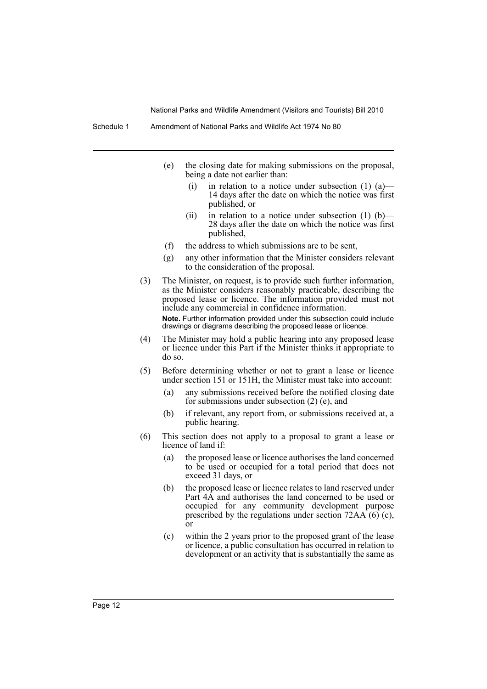- (e) the closing date for making submissions on the proposal, being a date not earlier than:
	- (i) in relation to a notice under subsection  $(1)$   $(a)$  14 days after the date on which the notice was first published, or
	- (ii) in relation to a notice under subsection  $(1)$  (b)— 28 days after the date on which the notice was first published,
- (f) the address to which submissions are to be sent,
- (g) any other information that the Minister considers relevant to the consideration of the proposal.
- (3) The Minister, on request, is to provide such further information, as the Minister considers reasonably practicable, describing the proposed lease or licence. The information provided must not include any commercial in confidence information. **Note.** Further information provided under this subsection could include drawings or diagrams describing the proposed lease or licence.
- (4) The Minister may hold a public hearing into any proposed lease or licence under this Part if the Minister thinks it appropriate to do so.
- (5) Before determining whether or not to grant a lease or licence under section 151 or 151H, the Minister must take into account:
	- (a) any submissions received before the notified closing date for submissions under subsection (2) (e), and
	- (b) if relevant, any report from, or submissions received at, a public hearing.
- (6) This section does not apply to a proposal to grant a lease or licence of land if:
	- (a) the proposed lease or licence authorises the land concerned to be used or occupied for a total period that does not exceed 31 days, or
	- (b) the proposed lease or licence relates to land reserved under Part 4A and authorises the land concerned to be used or occupied for any community development purpose prescribed by the regulations under section  $72AA(6)$  (c), or
	- (c) within the 2 years prior to the proposed grant of the lease or licence, a public consultation has occurred in relation to development or an activity that is substantially the same as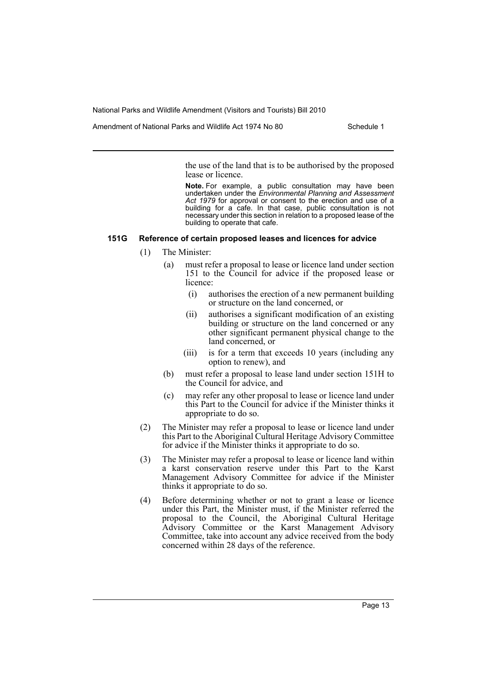Amendment of National Parks and Wildlife Act 1974 No 80 Schedule 1

the use of the land that is to be authorised by the proposed lease or licence.

**Note.** For example, a public consultation may have been undertaken under the *Environmental Planning and Assessment Act 1979* for approval or consent to the erection and use of a building for a cafe. In that case, public consultation is not necessary under this section in relation to a proposed lease of the building to operate that cafe.

#### **151G Reference of certain proposed leases and licences for advice**

- (1) The Minister:
	- (a) must refer a proposal to lease or licence land under section 151 to the Council for advice if the proposed lease or licence:
		- (i) authorises the erection of a new permanent building or structure on the land concerned, or
		- (ii) authorises a significant modification of an existing building or structure on the land concerned or any other significant permanent physical change to the land concerned, or
		- (iii) is for a term that exceeds 10 years (including any option to renew), and
	- (b) must refer a proposal to lease land under section 151H to the Council for advice, and
	- (c) may refer any other proposal to lease or licence land under this Part to the Council for advice if the Minister thinks it appropriate to do so.
- (2) The Minister may refer a proposal to lease or licence land under this Part to the Aboriginal Cultural Heritage Advisory Committee for advice if the Minister thinks it appropriate to do so.
- (3) The Minister may refer a proposal to lease or licence land within a karst conservation reserve under this Part to the Karst Management Advisory Committee for advice if the Minister thinks it appropriate to do so.
- (4) Before determining whether or not to grant a lease or licence under this Part, the Minister must, if the Minister referred the proposal to the Council, the Aboriginal Cultural Heritage Advisory Committee or the Karst Management Advisory Committee, take into account any advice received from the body concerned within 28 days of the reference.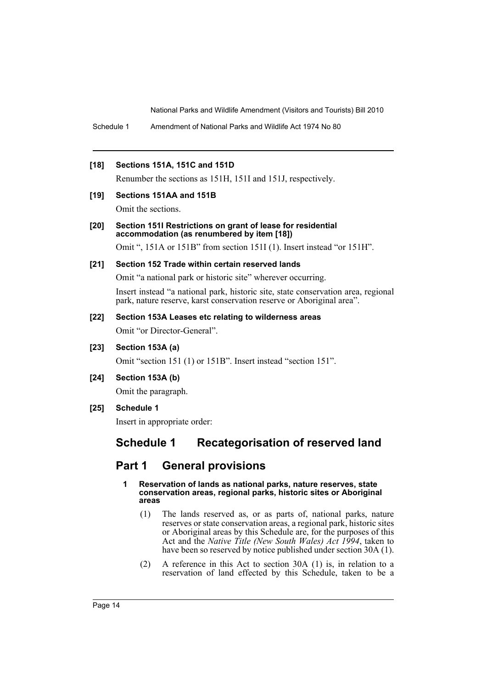Schedule 1 Amendment of National Parks and Wildlife Act 1974 No 80

### **[18] Sections 151A, 151C and 151D**

Renumber the sections as 151H, 151I and 151J, respectively.

#### **[19] Sections 151AA and 151B**

Omit the sections.

### **[20] Section 151I Restrictions on grant of lease for residential accommodation (as renumbered by item [18])**

Omit ", 151A or 151B" from section 151I (1). Insert instead "or 151H".

# **[21] Section 152 Trade within certain reserved lands**

Omit "a national park or historic site" wherever occurring.

Insert instead "a national park, historic site, state conservation area, regional park, nature reserve, karst conservation reserve or Aboriginal area".

# **[22] Section 153A Leases etc relating to wilderness areas**

Omit "or Director-General".

**[23] Section 153A (a)**

Omit "section 151 (1) or 151B". Insert instead "section 151".

**[24] Section 153A (b)**

Omit the paragraph.

**[25] Schedule 1**

Insert in appropriate order:

# **Schedule 1 Recategorisation of reserved land**

# **Part 1 General provisions**

- **1 Reservation of lands as national parks, nature reserves, state conservation areas, regional parks, historic sites or Aboriginal areas**
	- (1) The lands reserved as, or as parts of, national parks, nature reserves or state conservation areas, a regional park, historic sites or Aboriginal areas by this Schedule are, for the purposes of this Act and the *Native Title (New South Wales) Act 1994*, taken to have been so reserved by notice published under section 30A (1).
	- (2) A reference in this Act to section 30A (1) is, in relation to a reservation of land effected by this Schedule, taken to be a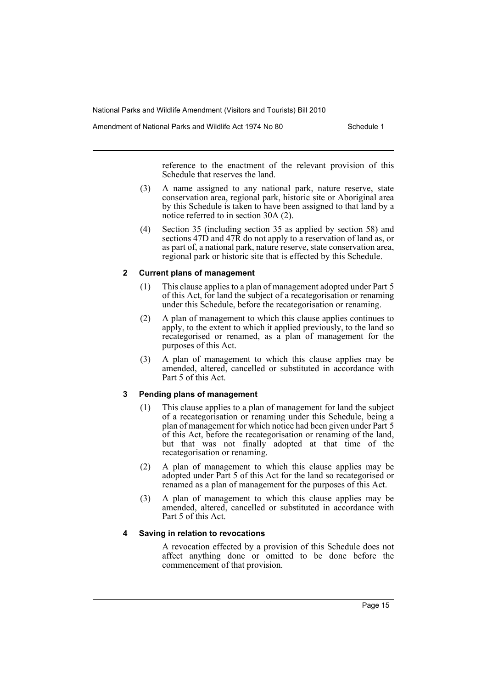Amendment of National Parks and Wildlife Act 1974 No 80 Schedule 1

reference to the enactment of the relevant provision of this Schedule that reserves the land.

- (3) A name assigned to any national park, nature reserve, state conservation area, regional park, historic site or Aboriginal area by this Schedule is taken to have been assigned to that land by a notice referred to in section 30A (2).
- (4) Section 35 (including section 35 as applied by section 58) and sections 47D and 47R do not apply to a reservation of land as, or as part of, a national park, nature reserve, state conservation area, regional park or historic site that is effected by this Schedule.

## **2 Current plans of management**

- (1) This clause applies to a plan of management adopted under Part 5 of this Act, for land the subject of a recategorisation or renaming under this Schedule, before the recategorisation or renaming.
- (2) A plan of management to which this clause applies continues to apply, to the extent to which it applied previously, to the land so recategorised or renamed, as a plan of management for the purposes of this Act.
- (3) A plan of management to which this clause applies may be amended, altered, cancelled or substituted in accordance with Part 5 of this Act.

# **3 Pending plans of management**

- (1) This clause applies to a plan of management for land the subject of a recategorisation or renaming under this Schedule, being a plan of management for which notice had been given under Part 5 of this Act, before the recategorisation or renaming of the land, but that was not finally adopted at that time of the recategorisation or renaming.
- (2) A plan of management to which this clause applies may be adopted under Part 5 of this Act for the land so recategorised or renamed as a plan of management for the purposes of this Act.
- (3) A plan of management to which this clause applies may be amended, altered, cancelled or substituted in accordance with Part 5 of this Act.

# **4 Saving in relation to revocations**

A revocation effected by a provision of this Schedule does not affect anything done or omitted to be done before the commencement of that provision.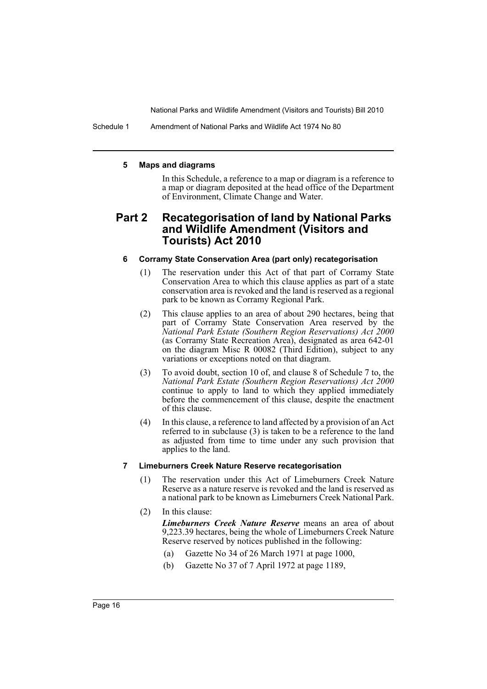Schedule 1 Amendment of National Parks and Wildlife Act 1974 No 80

#### **5 Maps and diagrams**

In this Schedule, a reference to a map or diagram is a reference to a map or diagram deposited at the head office of the Department of Environment, Climate Change and Water.

# **Part 2 Recategorisation of land by National Parks and Wildlife Amendment (Visitors and Tourists) Act 2010**

### **6 Corramy State Conservation Area (part only) recategorisation**

- (1) The reservation under this Act of that part of Corramy State Conservation Area to which this clause applies as part of a state conservation area is revoked and the land is reserved as a regional park to be known as Corramy Regional Park.
- (2) This clause applies to an area of about 290 hectares, being that part of Corramy State Conservation Area reserved by the *National Park Estate (Southern Region Reservations) Act 2000* (as Corramy State Recreation Area), designated as area 642-01 on the diagram Misc R 00082 (Third Edition), subject to any variations or exceptions noted on that diagram.
- (3) To avoid doubt, section 10 of, and clause 8 of Schedule 7 to, the *National Park Estate (Southern Region Reservations) Act 2000* continue to apply to land to which they applied immediately before the commencement of this clause, despite the enactment of this clause.
- (4) In this clause, a reference to land affected by a provision of an Act referred to in subclause (3) is taken to be a reference to the land as adjusted from time to time under any such provision that applies to the land.

#### **7 Limeburners Creek Nature Reserve recategorisation**

- (1) The reservation under this Act of Limeburners Creek Nature Reserve as a nature reserve is revoked and the land is reserved as a national park to be known as Limeburners Creek National Park.
- (2) In this clause:

*Limeburners Creek Nature Reserve* means an area of about 9,223.39 hectares, being the whole of Limeburners Creek Nature Reserve reserved by notices published in the following:

- (a) Gazette No 34 of 26 March 1971 at page 1000,
- (b) Gazette No 37 of 7 April 1972 at page 1189,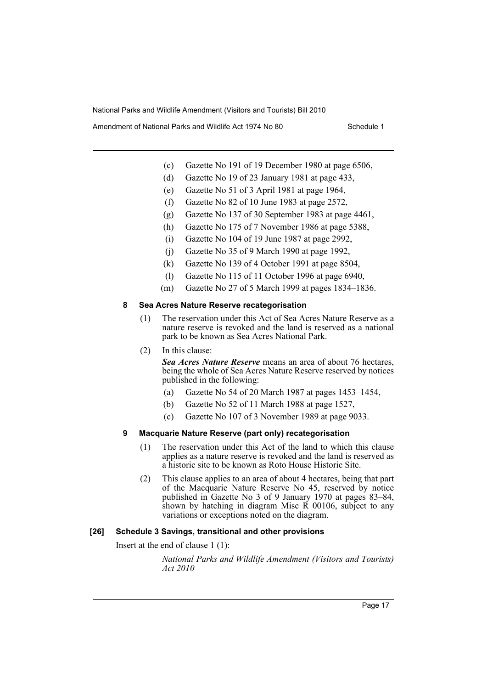Amendment of National Parks and Wildlife Act 1974 No 80 Schedule 1

- (c) Gazette No 191 of 19 December 1980 at page 6506,
- (d) Gazette No 19 of 23 January 1981 at page 433,
- (e) Gazette No 51 of 3 April 1981 at page 1964,
- (f) Gazette No 82 of 10 June 1983 at page 2572,
- (g) Gazette No 137 of 30 September 1983 at page 4461,
- (h) Gazette No 175 of 7 November 1986 at page 5388,
- (i) Gazette No 104 of 19 June 1987 at page 2992,
- (j) Gazette No 35 of 9 March 1990 at page 1992,
- (k) Gazette No 139 of 4 October 1991 at page 8504,
- (l) Gazette No 115 of 11 October 1996 at page 6940,
- (m) Gazette No 27 of 5 March 1999 at pages 1834–1836.

#### **8 Sea Acres Nature Reserve recategorisation**

- (1) The reservation under this Act of Sea Acres Nature Reserve as a nature reserve is revoked and the land is reserved as a national park to be known as Sea Acres National Park.
- (2) In this clause:

*Sea Acres Nature Reserve* means an area of about 76 hectares, being the whole of Sea Acres Nature Reserve reserved by notices published in the following:

- (a) Gazette No 54 of 20 March 1987 at pages 1453–1454,
- (b) Gazette No 52 of 11 March 1988 at page 1527,
- (c) Gazette No 107 of 3 November 1989 at page 9033.

#### **9 Macquarie Nature Reserve (part only) recategorisation**

- (1) The reservation under this Act of the land to which this clause applies as a nature reserve is revoked and the land is reserved as a historic site to be known as Roto House Historic Site.
- (2) This clause applies to an area of about 4 hectares, being that part of the Macquarie Nature Reserve No 45, reserved by notice published in Gazette No 3 of 9 January 1970 at pages 83–84, shown by hatching in diagram Misc  $\overrightarrow{R}$  00106, subject to any variations or exceptions noted on the diagram.

### **[26] Schedule 3 Savings, transitional and other provisions**

Insert at the end of clause 1 (1):

*National Parks and Wildlife Amendment (Visitors and Tourists) Act 2010*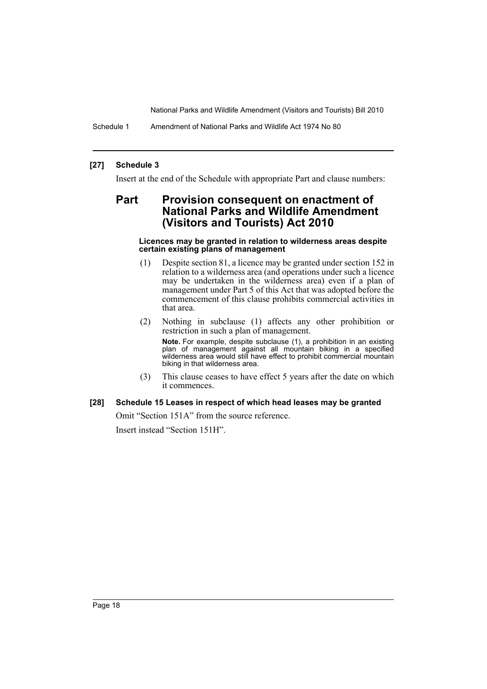Schedule 1 Amendment of National Parks and Wildlife Act 1974 No 80

## **[27] Schedule 3**

Insert at the end of the Schedule with appropriate Part and clause numbers:

# **Part Provision consequent on enactment of National Parks and Wildlife Amendment (Visitors and Tourists) Act 2010**

#### **Licences may be granted in relation to wilderness areas despite certain existing plans of management**

- (1) Despite section 81, a licence may be granted under section 152 in relation to a wilderness area (and operations under such a licence may be undertaken in the wilderness area) even if a plan of management under Part 5 of this Act that was adopted before the commencement of this clause prohibits commercial activities in that area.
- (2) Nothing in subclause (1) affects any other prohibition or restriction in such a plan of management. **Note.** For example, despite subclause (1), a prohibition in an existing plan of management against all mountain biking in a specified wilderness area would still have effect to prohibit commercial mountain biking in that wilderness area.
- (3) This clause ceases to have effect 5 years after the date on which it commences.

#### **[28] Schedule 15 Leases in respect of which head leases may be granted**

Omit "Section 151A" from the source reference. Insert instead "Section 151H".